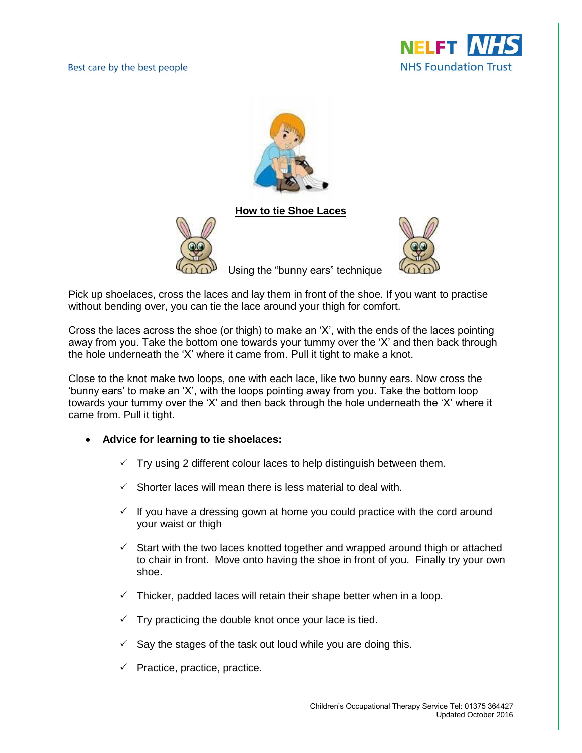Best care by the best people





**How to tie Shoe Laces**





Using the "bunny ears" technique

Pick up shoelaces, cross the laces and lay them in front of the shoe. If you want to practise without bending over, you can tie the lace around your thigh for comfort.

Cross the laces across the shoe (or thigh) to make an 'X', with the ends of the laces pointing away from you. Take the bottom one towards your tummy over the 'X' and then back through the hole underneath the 'X' where it came from. Pull it tight to make a knot.

Close to the knot make two loops, one with each lace, like two bunny ears. Now cross the 'bunny ears' to make an 'X', with the loops pointing away from you. Take the bottom loop towards your tummy over the 'X' and then back through the hole underneath the 'X' where it came from. Pull it tight.

- **Advice for learning to tie shoelaces:**
	- $\checkmark$  Try using 2 different colour laces to help distinguish between them.
	- $\checkmark$  Shorter laces will mean there is less material to deal with.
	- $\checkmark$  If you have a dressing gown at home you could practice with the cord around your waist or thigh
	- $\checkmark$  Start with the two laces knotted together and wrapped around thigh or attached to chair in front. Move onto having the shoe in front of you. Finally try your own shoe.
	- Thicker, padded laces will retain their shape better when in a loop.
	- $\checkmark$  Try practicing the double knot once your lace is tied.
	- Say the stages of the task out loud while you are doing this.
	- $\checkmark$  Practice, practice, practice.